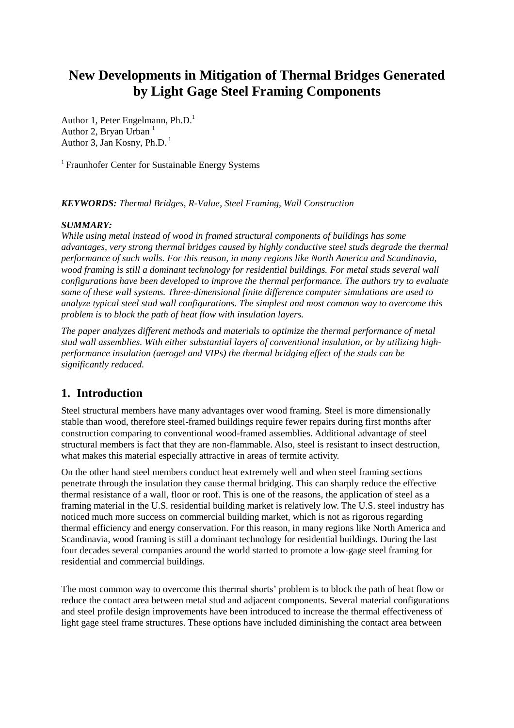# **New Developments in Mitigation of Thermal Bridges Generated by Light Gage Steel Framing Components**

Author 1, Peter Engelmann, Ph.D.<sup>1</sup> Author 2, Bryan Urban $<sup>1</sup>$ </sup> Author 3, Jan Kosny, Ph.D.<sup>1</sup>

<sup>1</sup> Fraunhofer Center for Sustainable Energy Systems

### *KEYWORDS: Thermal Bridges, R-Value, Steel Framing, Wall Construction*

### *SUMMARY:*

*While using metal instead of wood in framed structural components of buildings has some advantages, very strong thermal bridges caused by highly conductive steel studs degrade the thermal performance of such walls. For this reason, in many regions like North America and Scandinavia, wood framing is still a dominant technology for residential buildings. For metal studs several wall configurations have been developed to improve the thermal performance. The authors try to evaluate some of these wall systems. Three-dimensional finite difference computer simulations are used to analyze typical steel stud wall configurations. The simplest and most common way to overcome this problem is to block the path of heat flow with insulation layers.*

*The paper analyzes different methods and materials to optimize the thermal performance of metal stud wall assemblies. With either substantial layers of conventional insulation, or by utilizing highperformance insulation (aerogel and VIPs) the thermal bridging effect of the studs can be significantly reduced.*

## **1. Introduction**

Steel structural members have many advantages over wood framing. Steel is more dimensionally stable than wood, therefore steel-framed buildings require fewer repairs during first months after construction comparing to conventional wood-framed assemblies. Additional advantage of steel structural members is fact that they are non-flammable. Also, steel is resistant to insect destruction, what makes this material especially attractive in areas of termite activity.

On the other hand steel members conduct heat extremely well and when steel framing sections penetrate through the insulation they cause thermal bridging. This can sharply reduce the effective thermal resistance of a wall, floor or roof. This is one of the reasons, the application of steel as a framing material in the U.S. residential building market is relatively low. The U.S. steel industry has noticed much more success on commercial building market, which is not as rigorous regarding thermal efficiency and energy conservation. For this reason, in many regions like North America and Scandinavia, wood framing is still a dominant technology for residential buildings. During the last four decades several companies around the world started to promote a low-gage steel framing for residential and commercial buildings.

The most common way to overcome this thermal shorts' problem is to block the path of heat flow or reduce the contact area between metal stud and adjacent components. Several material configurations and steel profile design improvements have been introduced to increase the thermal effectiveness of light gage steel frame structures. These options have included diminishing the contact area between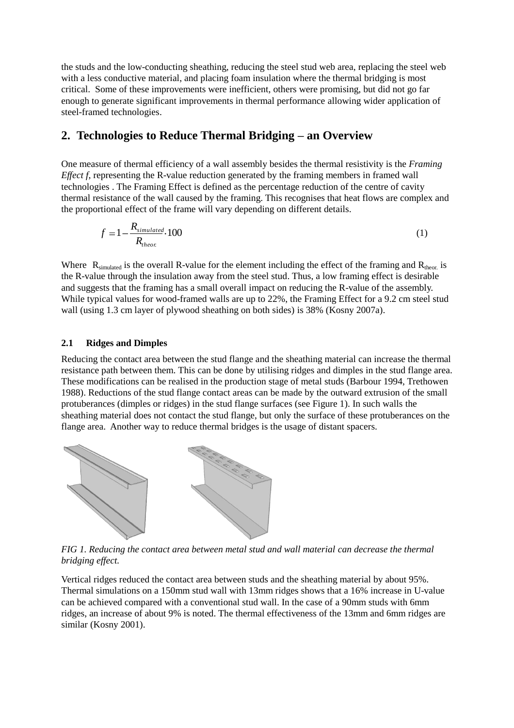the studs and the low-conducting sheathing, reducing the steel stud web area, replacing the steel web with a less conductive material, and placing foam insulation where the thermal bridging is most critical. Some of these improvements were inefficient, others were promising, but did not go far enough to generate significant improvements in thermal performance allowing wider application of steel-framed technologies.

## **2. Technologies to Reduce Thermal Bridging – an Overview**

One measure of thermal efficiency of a wall assembly besides the thermal resistivity is the *Framing Effect f*, representing the R-value reduction generated by the framing members in framed wall technologies . The Framing Effect is defined as the percentage reduction of the centre of cavity thermal resistance of the wall caused by the framing. This recognises that heat flows are complex and the proportional effect of the frame will vary depending on different details.

$$
f = 1 - \frac{R_{simulated}}{R_{theor}} \tag{1}
$$

Where  $R_{simulated}$  is the overall R-value for the element including the effect of the framing and  $R_{theor.}$  is the R-value through the insulation away from the steel stud. Thus, a low framing effect is desirable and suggests that the framing has a small overall impact on reducing the R-value of the assembly. While typical values for wood-framed walls are up to 22%, the Framing Effect for a 9.2 cm steel stud wall (using 1.3 cm layer of plywood sheathing on both sides) is 38% (Kosny 2007a).

### **2.1 Ridges and Dimples**

Reducing the contact area between the stud flange and the sheathing material can increase the thermal resistance path between them. This can be done by utilising ridges and dimples in the stud flange area. These modifications can be realised in the production stage of metal studs (Barbour 1994, Trethowen 1988). Reductions of the stud flange contact areas can be made by the outward extrusion of the small protuberances (dimples or ridges) in the stud flange surfaces (see Figure 1). In such walls the sheathing material does not contact the stud flange, but only the surface of these protuberances on the flange area. Another way to reduce thermal bridges is the usage of distant spacers.



*FIG 1. Reducing the contact area between metal stud and wall material can decrease the thermal bridging effect.*

Vertical ridges reduced the contact area between studs and the sheathing material by about 95%. Thermal simulations on a 150mm stud wall with 13mm ridges shows that a 16% increase in U-value can be achieved compared with a conventional stud wall. In the case of a 90mm studs with 6mm ridges, an increase of about 9% is noted. The thermal effectiveness of the 13mm and 6mm ridges are similar (Kosny 2001).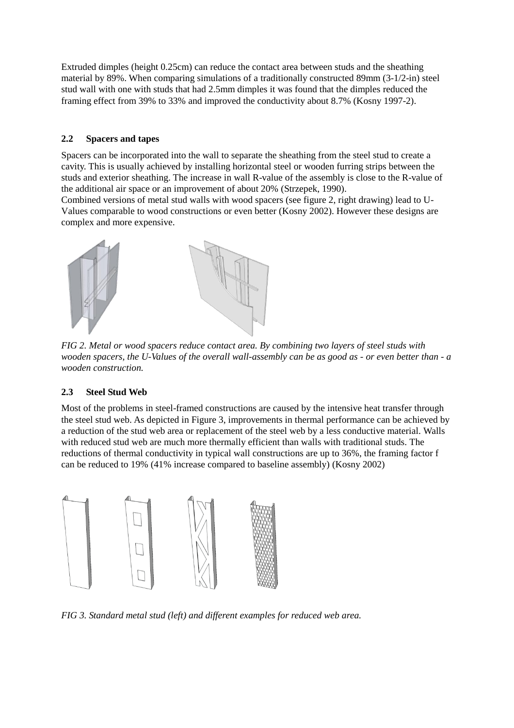Extruded dimples (height 0.25cm) can reduce the contact area between studs and the sheathing material by 89%. When comparing simulations of a traditionally constructed 89mm (3-1/2-in) steel stud wall with one with studs that had 2.5mm dimples it was found that the dimples reduced the framing effect from 39% to 33% and improved the conductivity about 8.7% (Kosny 1997-2).

### **2.2 Spacers and tapes**

Spacers can be incorporated into the wall to separate the sheathing from the steel stud to create a cavity. This is usually achieved by installing horizontal steel or wooden furring strips between the studs and exterior sheathing. The increase in wall R-value of the assembly is close to the R-value of the additional air space or an improvement of about 20% (Strzepek, 1990).

Combined versions of metal stud walls with wood spacers (see figure 2, right drawing) lead to U-Values comparable to wood constructions or even better (Kosny 2002). However these designs are complex and more expensive.



*FIG 2. Metal or wood spacers reduce contact area. By combining two layers of steel studs with wooden spacers, the U-Values of the overall wall-assembly can be as good as - or even better than - a wooden construction.*

## **2.3 Steel Stud Web**

Most of the problems in steel-framed constructions are caused by the intensive heat transfer through the steel stud web. As depicted in Figure 3, improvements in thermal performance can be achieved by a reduction of the stud web area or replacement of the steel web by a less conductive material. Walls with reduced stud web are much more thermally efficient than walls with traditional studs. The reductions of thermal conductivity in typical wall constructions are up to 36%, the framing factor f can be reduced to 19% (41% increase compared to baseline assembly) (Kosny 2002)



*FIG 3. Standard metal stud (left) and different examples for reduced web area.*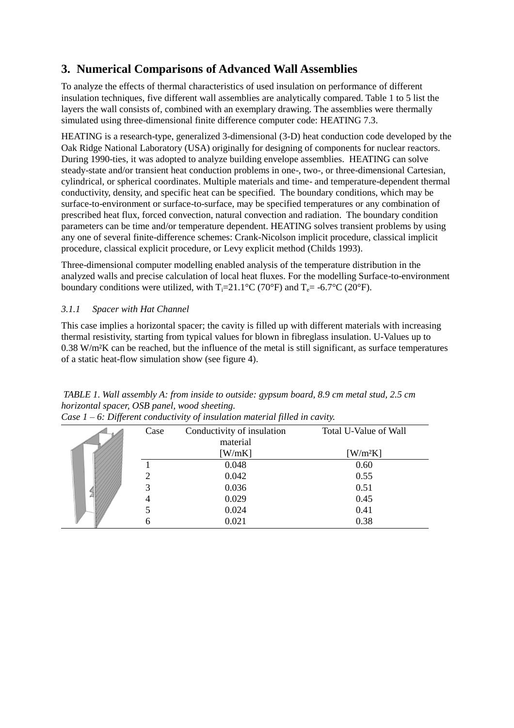## **3. Numerical Comparisons of Advanced Wall Assemblies**

To analyze the effects of thermal characteristics of used insulation on performance of different insulation techniques, five different wall assemblies are analytically compared. Table 1 to 5 list the layers the wall consists of, combined with an exemplary drawing. The assemblies were thermally simulated using three-dimensional finite difference computer code: HEATING 7.3.

HEATING is a research-type, generalized 3-dimensional (3-D) heat conduction code developed by the Oak Ridge National Laboratory (USA) originally for designing of components for nuclear reactors. During 1990-ties, it was adopted to analyze building envelope assemblies. HEATING can solve steady-state and/or transient heat conduction problems in one-, two-, or three-dimensional Cartesian, cylindrical, or spherical coordinates. Multiple materials and time- and temperature-dependent thermal conductivity, density, and specific heat can be specified. The boundary conditions, which may be surface-to-environment or surface-to-surface, may be specified temperatures or any combination of prescribed heat flux, forced convection, natural convection and radiation. The boundary condition parameters can be time and/or temperature dependent. HEATING solves transient problems by using any one of several finite-difference schemes: Crank-Nicolson implicit procedure, classical implicit procedure, classical explicit procedure, or Levy explicit method (Childs 1993).

Three-dimensional computer modelling enabled analysis of the temperature distribution in the analyzed walls and precise calculation of local heat fluxes. For the modelling Surface-to-environment boundary conditions were utilized, with  $T_i=21.1^{\circ}C$  (70°F) and  $T_e=$  -6.7°C (20°F).

## *3.1.1 Spacer with Hat Channel*

This case implies a horizontal spacer; the cavity is filled up with different materials with increasing thermal resistivity, starting from typical values for blown in fibreglass insulation. U-Values up to 0.38 W/m²K can be reached, but the influence of the metal is still significant, as surface temperatures of a static heat-flow simulation show (see figure 4).

| Case | Conductivity of insulation | Total U-Value of Wall               |
|------|----------------------------|-------------------------------------|
|      | material                   |                                     |
|      | [W/mK]                     | $\left[\text{W/m}^2\text{K}\right]$ |
|      | 0.048                      | 0.60                                |
|      | 0.042                      | 0.55                                |
| 3    | 0.036                      | 0.51                                |
|      | 0.029                      | 0.45                                |
|      | 0.024                      | 0.41                                |
|      | 0.021                      | 0.38                                |

*TABLE 1. Wall assembly A: from inside to outside: gypsum board, 8.9 cm metal stud, 2.5 cm horizontal spacer, OSB panel, wood sheeting. Case 1 – 6: Different conductivity of insulation material filled in cavity.*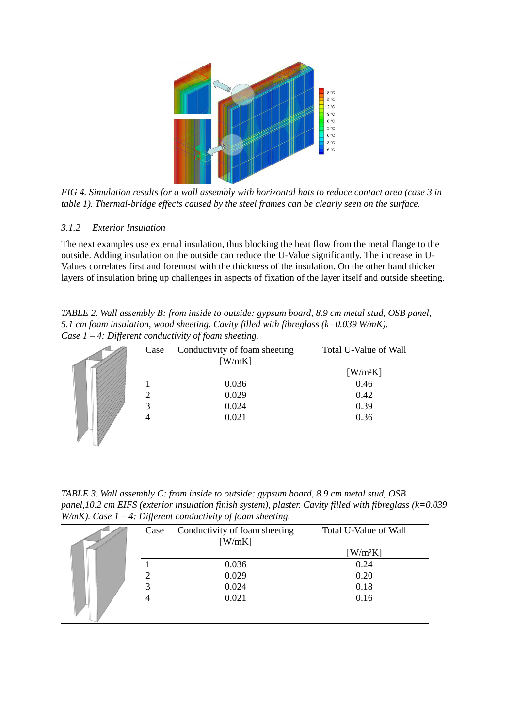

*FIG 4. Simulation results for a wall assembly with horizontal hats to reduce contact area (case 3 in table 1). Thermal-bridge effects caused by the steel frames can be clearly seen on the surface.*

### *3.1.2 Exterior Insulation*

The next examples use external insulation, thus blocking the heat flow from the metal flange to the outside. Adding insulation on the outside can reduce the U-Value significantly. The increase in U-Values correlates first and foremost with the thickness of the insulation. On the other hand thicker layers of insulation bring up challenges in aspects of fixation of the layer itself and outside sheeting.

*TABLE 2. Wall assembly B: from inside to outside: gypsum board, 8.9 cm metal stud, OSB panel, 5.1 cm foam insulation, wood sheeting. Cavity filled with fibreglass (k=0.039 W/mK). Case 1 – 4: Different conductivity of foam sheeting.*

| Case          | Conductivity of foam sheeting | Total U-Value of Wall               |
|---------------|-------------------------------|-------------------------------------|
|               | [W/mK]                        |                                     |
|               |                               | $\left[\text{W/m}^2\text{K}\right]$ |
|               | 0.036                         | 0.46                                |
| $\mathcal{D}$ | 0.029                         | 0.42                                |
| 3             | 0.024                         | 0.39                                |
| 4             | 0.021                         | 0.36                                |
|               |                               |                                     |
|               |                               |                                     |

*TABLE 3. Wall assembly C: from inside to outside: gypsum board, 8.9 cm metal stud, OSB panel,10.2 cm EIFS (exterior insulation finish system), plaster. Cavity filled with fibreglass (k=0.039 W/mK). Case 1 – 4: Different conductivity of foam sheeting.*

| Case | Conductivity of foam sheeting<br>[W/mK] | Total U-Value of Wall               |
|------|-----------------------------------------|-------------------------------------|
|      |                                         | $\left[\text{W/m}^2\text{K}\right]$ |
|      | 0.036                                   | 0.24                                |
| っ    | 0.029                                   | 0.20                                |
| 3    | 0.024                                   | 0.18                                |
|      | 0.021                                   | 0.16                                |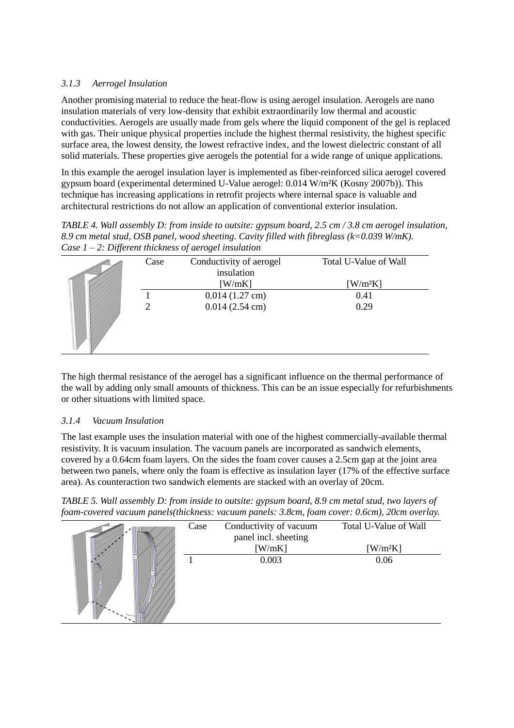### *3.1.3 Aerrogel Insulation*

Another promising material to reduce the heat-flow is using aerogel insulation. Aerogels are nano insulation materials of very low-density that exhibit extraordinarily low thermal and acoustic conductivities. Aerogels are usually made from gels where the liquid component of the gel is replaced with gas. Their unique physical properties include the highest thermal resistivity, the highest specific surface area, the lowest density, the lowest refractive index, and the lowest dielectric constant of all solid materials. These properties give aerogels the potential for a wide range of unique applications.

In this example the aerogel insulation layer is implemented as fiber-reinforced silica aerogel covered gypsum board (experimental determined U-Value aerogel: 0.014 W/m²K (Kosny 2007b)). This technique has increasing applications in retrofit projects where internal space is valuable and architectural restrictions do not allow an application of conventional exterior insulation.

*TABLE 4. Wall assembly D: from inside to outsite: gypsum board, 2.5 cm / 3.8 cm aerogel insulation, 8.9 cm metal stud, OSB panel, wood sheeting. Cavity filled with fibreglass (k=0.039 W/mK). Case 1 – 2: Different thickness of aerogel insulation*

| IJ | Case           | $\cdot$<br>Conductivity of aerogel<br>insulation | Total U-Value of Wall |
|----|----------------|--------------------------------------------------|-----------------------|
|    |                | [W/mK]                                           | $[W/m^2K]$            |
|    |                | $0.014(1.27 \text{ cm})$                         | 0.41                  |
|    | $\overline{2}$ | $0.014(2.54 \text{ cm})$                         | 0.29                  |

The high thermal resistance of the aerogel has a significant influence on the thermal performance of the wall by adding only small amounts of thickness. This can be an issue especially for refurbishments or other situations with limited space.

### *3.1.4 Vacuum Insulation*

The last example uses the insulation material with one of the highest commercially-available thermal resistivity. It is vacuum insulation. The vacuum panels are incorporated as sandwich elements, covered by a 0.64cm foam layers. On the sides the foam cover causes a 2.5cm gap at the joint area between two panels, where only the foam is effective as insulation layer (17% of the effective surface area). As counteraction two sandwich elements are stacked with an overlay of 20cm.

*TABLE 5. Wall assembly D: from inside to outsite: gypsum board, 8.9 cm metal stud, two layers of foam-covered vacuum panels(thickness: vacuum panels: 3.8cm, foam cover: 0.6cm), 20cm overlay.*

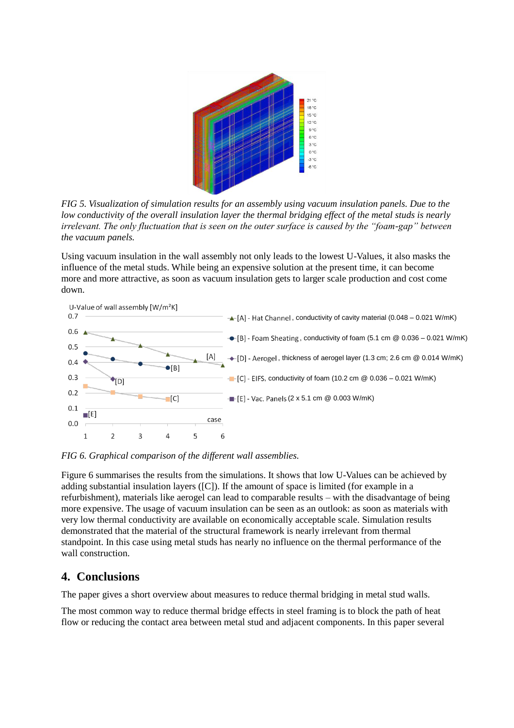

*FIG 5. Visualization of simulation results for an assembly using vacuum insulation panels. Due to the low conductivity of the overall insulation layer the thermal bridging effect of the metal studs is nearly irrelevant. The only fluctuation that is seen on the outer surface is caused by the "foam-gap" between the vacuum panels.*

Using vacuum insulation in the wall assembly not only leads to the lowest U-Values, it also masks the influence of the metal studs. While being an expensive solution at the present time, it can become more and more attractive, as soon as vacuum insulation gets to larger scale production and cost come down.



*FIG 6. Graphical comparison of the different wall assemblies.* 

Figure 6 summarises the results from the simulations. It shows that low U-Values can be achieved by adding substantial insulation layers ([C]). If the amount of space is limited (for example in a refurbishment), materials like aerogel can lead to comparable results – with the disadvantage of being more expensive. The usage of vacuum insulation can be seen as an outlook: as soon as materials with very low thermal conductivity are available on economically acceptable scale. Simulation results demonstrated that the material of the structural framework is nearly irrelevant from thermal standpoint. In this case using metal studs has nearly no influence on the thermal performance of the wall construction.

## **4. Conclusions**

The paper gives a short overview about measures to reduce thermal bridging in metal stud walls.

The most common way to reduce thermal bridge effects in steel framing is to block the path of heat flow or reducing the contact area between metal stud and adjacent components. In this paper several